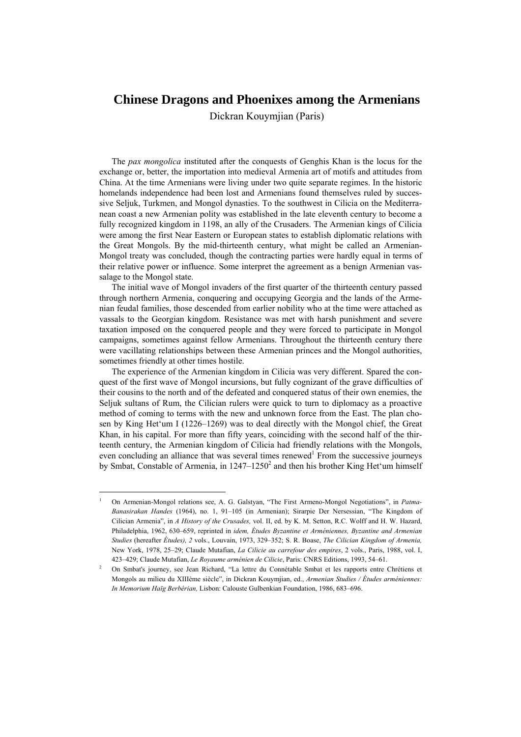# **Chinese Dragons and Phoenixes among the Armenians**

Dickran Kouymjian (Paris)

The *pax mongolica* instituted after the conquests of Genghis Khan is the locus for the exchange or, better, the importation into medieval Armenia art of motifs and attitudes from China. At the time Armenians were living under two quite separate regimes. In the historic homelands independence had been lost and Armenians found themselves ruled by successive Seljuk, Turkmen, and Mongol dynasties. To the southwest in Cilicia on the Mediterranean coast a new Armenian polity was established in the late eleventh century to become a fully recognized kingdom in 1198, an ally of the Crusaders. The Armenian kings of Cilicia were among the first Near Eastern or European states to establish diplomatic relations with the Great Mongols. By the mid-thirteenth century, what might be called an Armenian-Mongol treaty was concluded, though the contracting parties were hardly equal in terms of their relative power or influence. Some interpret the agreement as a benign Armenian vassalage to the Mongol state.

The initial wave of Mongol invaders of the first quarter of the thirteenth century passed through northern Armenia, conquering and occupying Georgia and the lands of the Armenian feudal families, those descended from earlier nobility who at the time were attached as vassals to the Georgian kingdom. Resistance was met with harsh punishment and severe taxation imposed on the conquered people and they were forced to participate in Mongol campaigns, sometimes against fellow Armenians. Throughout the thirteenth century there were vacillating relationships between these Armenian princes and the Mongol authorities, sometimes friendly at other times hostile.

The experience of the Armenian kingdom in Cilicia was very different. Spared the conquest of the first wave of Mongol incursions, but fully cognizant of the grave difficulties of their cousins to the north and of the defeated and conquered status of their own enemies, the Seljuk sultans of Rum, the Cilician rulers were quick to turn to diplomacy as a proactive method of coming to terms with the new and unknown force from the East. The plan chosen by King Het'um I (1226–1269) was to deal directly with the Mongol chief, the Great Khan, in his capital. For more than fifty years, coinciding with the second half of the thirteenth century, the Armenian kingdom of Cilicia had friendly relations with the Mongols, even concluding an alliance that was several times renewed<sup>1</sup> From the successive journeys by Smbat, Constable of Armenia, in  $1247-1250^2$  and then his brother King Het'um himself

<sup>1</sup> On Armenian-Mongol relations see, A. G. Galstyan, "The First Armeno-Mongol Negotiations", in *Patma-Banasirakan Handes* (1964), no. 1, 91–105 (in Armenian); Sirarpie Der Nersessian, "The Kingdom of Cilician Armenia", in *A History of the Crusades,* vol. II, ed. by K. M. Setton, R.C. Wolff and H. W. Hazard, Philadelphia, 1962, 630–659, reprinted in *idem, Études Byzantine et Arméniennes, Byzantine and Armenian Studies* (hereafter *Études), 2* vols., Louvain, 1973, 329–352; S. R. Boase, *The Cilician Kingdom of Armenia,*  New York, 1978, 25–29; Claude Mutafian, *La Cilicie au carrefour des empires*, 2 vols., Paris, 1988, vol. I, 423–429; Claude Mutafian, *Le Royaume arménien de Cilicie*, Paris: CNRS Editions, 1993, 54–61. 2

On Smbat's journey, see Jean Richard, "La lettre du Connétable Smbat et les rapports entre Chrétiens et Mongols au milieu du XIIIème siècle", in Dickran Kouymjian, ed., *Armenian Studies / Études arméniennes: In Memorium Haïg Berbérian,* Lisbon: Calouste Gulbenkian Foundation, 1986, 683–696.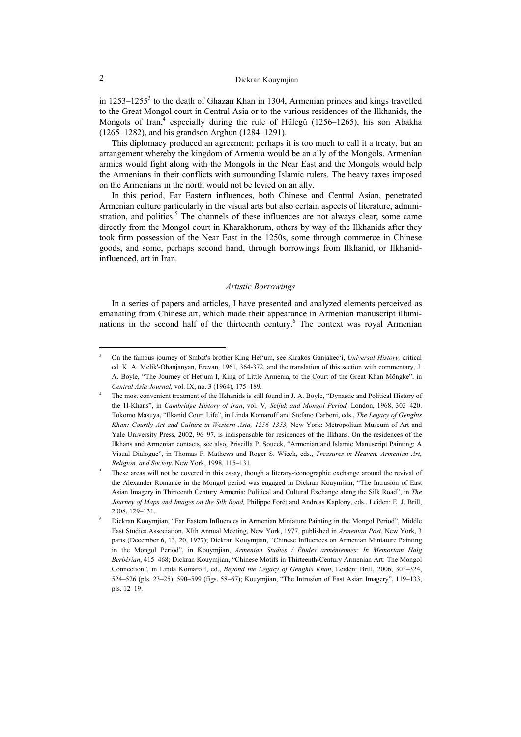in  $1253-1255<sup>3</sup>$  to the death of Ghazan Khan in 1304, Armenian princes and kings travelled to the Great Mongol court in Central Asia or to the various residences of the Ilkhanids, the Mongols of Iran, $4$  especially during the rule of Hülegü (1256–1265), his son Abakha (1265–1282), and his grandson Arghun (1284–1291).

This diplomacy produced an agreement; perhaps it is too much to call it a treaty, but an arrangement whereby the kingdom of Armenia would be an ally of the Mongols. Armenian armies would fight along with the Mongols in the Near East and the Mongols would help the Armenians in their conflicts with surrounding Islamic rulers. The heavy taxes imposed on the Armenians in the north would not be levied on an ally.

In this period, Far Eastern influences, both Chinese and Central Asian, penetrated Armenian culture particularly in the visual arts but also certain aspects of literature, administration, and politics.<sup>5</sup> The channels of these influences are not always clear; some came directly from the Mongol court in Kharakhorum, others by way of the Ilkhanids after they took firm possession of the Near East in the 1250s, some through commerce in Chinese goods, and some, perhaps second hand, through borrowings from Ilkhanid, or Ilkhanidinfluenced, art in Iran.

#### *Artistic Borrowings*

In a series of papers and articles, I have presented and analyzed elements perceived as emanating from Chinese art, which made their appearance in Armenian manuscript illuminations in the second half of the thirteenth century.<sup>6</sup> The context was royal Armenian

<sup>3</sup> On the famous journey of Smbat's brother King Het'um, see Kirakos Ganjakec'i, *Universal History,* critical ed. K. A. Melik'-Ohanjanyan, Erevan, 1961, 364-372, and the translation of this section with commentary, J. A. Boyle, "The Journey of Het'um I, King of Little Armenia, to the Court of the Great Khan Möngke", in *Central Asia Journal,* vol. IX, no. 3 (1964), 175–189. 4

The most convenient treatment of the Ilkhanids is still found in J. A. Boyle, "Dynastic and Political History of the 1l-Khans", in *Cambridge History of Iran*, vol. V*, Seljuk and Mongol Period,* London, 1968, 303–420. Tokomo Masuya, "Ilkanid Court Life", in Linda Komaroff and Stefano Carboni, eds., *The Legacy of Genghis Khan: Courtly Art and Culture in Western Asia, 1256–1353,* New York: Metropolitan Museum of Art and Yale University Press, 2002, 96–97, is indispensable for residences of the Ilkhans. On the residences of the Ilkhans and Armenian contacts, see also, Priscilla P. Soucek, "Armenian and Islamic Manuscript Painting: A Visual Dialogue", in Thomas F. Mathews and Roger S. Wieck, eds., *Treasures in Heaven. Armenian Art, Religion, and Society*, New York, 1998, 115-131.

These areas will not be covered in this essay, though a literary-iconographic exchange around the revival of the Alexander Romance in the Mongol period was engaged in Dickran Kouymjian, "The Intrusion of East Asian Imagery in Thirteenth Century Armenia: Political and Cultural Exchange along the Silk Road", in *The Journey of Maps and Images on the Silk Road,* Philippe Forét and Andreas Kaplony, eds., Leiden: E. J. Brill, 2008, 129–131. 6

Dickran Kouymjian, "Far Eastern Influences in Armenian Miniature Painting in the Mongol Period", Middle East Studies Association, XIth Annual Meeting, New York, 1977, published in *Armenian Post*, New York, 3 parts (December 6, 13, 20, 1977); Dickran Kouymjian, "Chinese Influences on Armenian Miniature Painting in the Mongol Period", in Kouymjian, *Armenian Studies / Études arméniennes: In Memoriam Haïg Berbérian*, 415–468; Dickran Kouymjian, "Chinese Motifs in Thirteenth-Century Armenian Art: The Mongol Connection", in Linda Komaroff, ed., *Beyond the Legacy of Genghis Khan*, Leiden: Brill, 2006, 303–324, 524–526 (pls. 23–25), 590–599 (figs. 58–67); Kouymjian, "The Intrusion of East Asian Imagery", 119–133, pls. 12–19.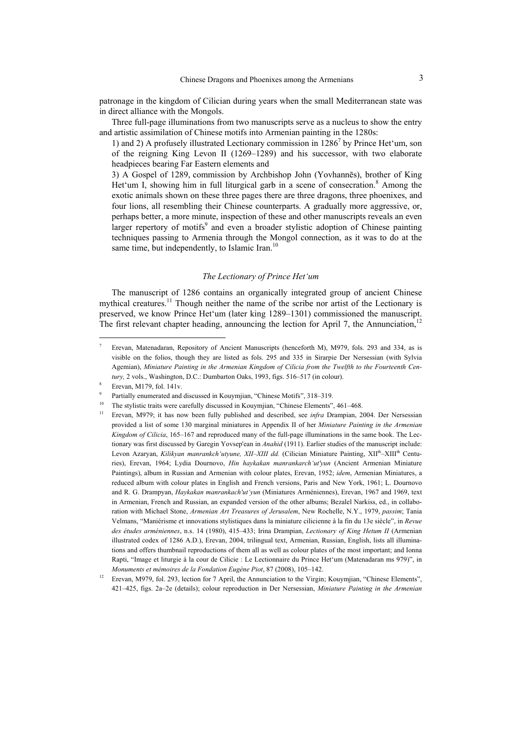patronage in the kingdom of Cilician during years when the small Mediterranean state was in direct alliance with the Mongols.

Three full-page illuminations from two manuscripts serve as a nucleus to show the entry and artistic assimilation of Chinese motifs into Armenian painting in the 1280s:

1) and 2) A profusely illustrated Lectionary commission in 12867 by Prince Het'um, son of the reigning King Levon II (1269–1289) and his successor, with two elaborate headpieces bearing Far Eastern elements and

3) A Gospel of 1289, commission by Archbishop John (Yovhannēs), brother of King Het'um I, showing him in full liturgical garb in a scene of consecration.<sup>8</sup> Among the exotic animals shown on these three pages there are three dragons, three phoenixes, and four lions, all resembling their Chinese counterparts. A gradually more aggressive, or, perhaps better, a more minute, inspection of these and other manuscripts reveals an even larger repertory of motifs<sup>9</sup> and even a broader stylistic adoption of Chinese painting techniques passing to Armenia through the Mongol connection, as it was to do at the same time, but independently, to Islamic Iran.<sup>10</sup>

### *The Lectionary of Prince Het'um*

The manuscript of 1286 contains an organically integrated group of ancient Chinese mythical creatures.<sup>11</sup> Though neither the name of the scribe nor artist of the Lectionary is preserved, we know Prince Het'um (later king 1289–1301) commissioned the manuscript. The first relevant chapter heading, announcing the lection for April 7, the Annunciation.<sup>12</sup>

<sup>7</sup> Erevan, Matenadaran, Repository of Ancient Manuscripts (henceforth M), M979, fols. 293 and 334, as is visible on the folios, though they are listed as fols. 295 and 335 in Sirarpie Der Nersessian (with Sylvia Agemian), *Miniature Painting in the Armenian Kingdom of Cilicia from the Twelfth to the Fourteenth Cen*tury, 2 vols., Washington, D.C.: Dumbarton Oaks, 1993, figs. 516-517 (in colour).

Erevan, M179, fol. 141v.

<sup>9</sup>

<sup>&</sup>lt;sup>9</sup> Partially enumerated and discussed in Kouymjian, "Chinese Motifs", 318–319.<br><sup>10</sup> The stylistic traits were carefully discussed in Kouymjian, "Chinese Elements", 461–468.<br><sup>11</sup> Erevan, M979; it has now been fully publis provided a list of some 130 marginal miniatures in Appendix II of her *Miniature Painting in the Armenian Kingdom of Cilicia*, 165–167 and reproduced many of the full-page illuminations in the same book. The Lectionary was first discussed by Garegin Yovsep'ean in *Anahid* (1911). Earlier studies of the manuscript include: Levon Azaryan, *Kilikyan manrankch'utyune, XII–XIII dd.* (Cilician Miniature Painting, XII<sup>th</sup>–XIII<sup>th</sup> Centuries), Erevan, 1964; Lydia Dournovo, *Hin haykakan manrankarch'ut'yun* (Ancient Armenian Miniature Paintings), album in Russian and Armenian with colour plates, Erevan, 1952; *idem*, Armenian Miniatures, a reduced album with colour plates in English and French versions, Paris and New York, 1961; L. Dournovo and R. G. Drampyan, *Haykakan manrankach'ut'yun* (Miniatures Arméniennes), Erevan, 1967 and 1969, text in Armenian, French and Russian, an expanded version of the other albums; Bezalel Narkiss, ed., in collaboration with Michael Stone, *Armenian Art Treasures of Jerusalem*, New Rochelle, N.Y., 1979, *passim*; Tania Velmans, "Maniérisme et innovations stylistiques dans la miniature cilicienne à la fin du 13e siècle", in *Revue des études arméniennes*, n.s. 14 (1980), 415–433; Irina Drampian, *Lectionary of King Hetum II* (Armenian illustrated codex of 1286 A.D.), Erevan, 2004, trilingual text, Armenian, Russian, English, lists all illuminations and offers thumbnail reproductions of them all as well as colour plates of the most important; and Ionna Rapti, "Image et liturgie à la cour de Cilicie : Le Lectionnaire du Prince Het'um (Matenadaran ms 979)", in *Monuments et mémoires de la Fondation Eugène Piot*, 87 (2008), 105–142.<br><sup>12</sup> Erevan, M979, fol. 293, lection for 7 April, the Annunciation to the Virgin; Kouymjian, "Chinese Elements",

<sup>421–425,</sup> figs. 2a–2e (details); colour reproduction in Der Nersessian, *Miniature Painting in the Armenian*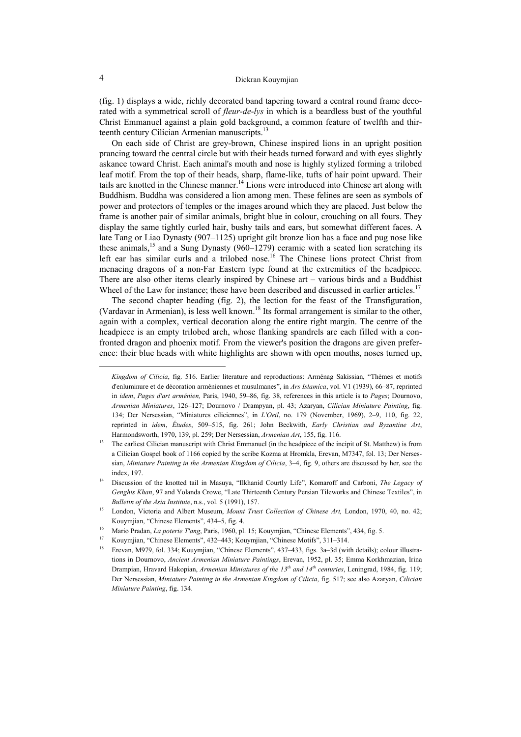(fig. 1) displays a wide, richly decorated band tapering toward a central round frame decorated with a symmetrical scroll of *fleur-de-lys* in which is a beardless bust of the youthful Christ Emmanuel against a plain gold background, a common feature of twelfth and thirteenth century Cilician Armenian manuscripts.<sup>13</sup>

On each side of Christ are grey-brown, Chinese inspired lions in an upright position prancing toward the central circle but with their heads turned forward and with eyes slightly askance toward Christ. Each animal's mouth and nose is highly stylized forming a trilobed leaf motif. From the top of their heads, sharp, flame-like, tufts of hair point upward. Their tails are knotted in the Chinese manner.<sup>14</sup> Lions were introduced into Chinese art along with Buddhism. Buddha was considered a lion among men. These felines are seen as symbols of power and protectors of temples or the images around which they are placed. Just below the frame is another pair of similar animals, bright blue in colour, crouching on all fours. They display the same tightly curled hair, bushy tails and ears, but somewhat different faces. A late Tang or Liao Dynasty (907–1125) upright gilt bronze lion has a face and pug nose like these animals,  $^{15}$  and a Sung Dynasty (960–1279) ceramic with a seated lion scratching its left ear has similar curls and a trilobed nose.<sup>16</sup> The Chinese lions protect Christ from menacing dragons of a non-Far Eastern type found at the extremities of the headpiece. There are also other items clearly inspired by Chinese art – various birds and a Buddhist Wheel of the Law for instance; these have been described and discussed in earlier articles.<sup>17</sup>

The second chapter heading (fig. 2), the lection for the feast of the Transfiguration, (Vardavar in Armenian), is less well known.<sup>18</sup> Its formal arrangement is similar to the other, again with a complex, vertical decoration along the entire right margin. The centre of the headpiece is an empty trilobed arch, whose flanking spandrels are each filled with a confronted dragon and phoenix motif. From the viewer's position the dragons are given preference: their blue heads with white highlights are shown with open mouths, noses turned up,

*Kingdom of Cilicia*, fig. 516. Earlier literature and reproductions: Arménag Sakissian, "Thèmes et motifs d'enluminure et de décoration arméniennes et musulmanes", in *Ars Islamica*, vol. V1 (1939), 66–87, reprinted in *idem*, *Pages d'art arménien,* Paris, 1940, 59–86, fig. 38, references in this article is to *Pages*; Dournovo, *Armenian Miniatures*, 126–127; Dournovo / Drampyan, pl. 43; Azaryan, *Cilician Miniature Painting*, fig. 134; Der Nersessian, "Miniatures ciliciennes", in *L'Oeil*, no. 179 (November, 1969), 2–9, 110, fig. 22, reprinted in *idem*, *Études*, 509–515, fig. 261; John Beckwith, *Early Christian and Byzantine Art*, Harmondsworth, 1970, 139, pl. 259; Der Nersessian, *Armenian Art*, 155, fig. 116.<br><sup>13</sup> The earliest Cilician manuscript with Christ Emmanuel (in the headpiece of the incipit of St. Matthew) is from

a Cilician Gospel book of 1166 copied by the scribe Kozma at Hromkla, Erevan, M7347, fol. 13; Der Nersessian, *Miniature Painting in the Armenian Kingdom of Cilicia*, 3–4, fig. 9, others are discussed by her, see the index, 197. 14 Discussion of the knotted tail in Masuya, "Ilkhanid Courtly Life", Komaroff and Carboni, *The Legacy of* 

*Genghis Khan*, 97 and Yolanda Crowe, "Late Thirteenth Century Persian Tileworks and Chinese Textiles", in *Bulletin of the Asia Institute*, n.s., vol. 5 (1991), 157.<br><sup>15</sup> London, Victoria and Albert Museum, *Mount Trust Collection of Chinese Art*, London, 1970, 40, no. 42;

Kouymjian, "Chinese Elements", 434–5, fig. 4.<br>
Mario Pradan, *La poterie T'ang*, Paris, 1960, pl. 15; Kouymjian, "Chinese Elements", 434, fig. 5.<br>
Kouymjian, "Chinese Elements", 432–443; Kouymjian, "Chinese Motifs", 311–31

tions in Dournovo, *Ancient Armenian Miniature Paintings*, Erevan, 1952, pl. 35; Emma Korkhmazian, Irina Drampian, Hravard Hakopian, *Armenian Miniatures of the 13th and 14th centuries*, Leningrad, 1984, fig. 119; Der Nersessian, *Miniature Painting in the Armenian Kingdom of Cilicia*, fig. 517; see also Azaryan, *Cilician Miniature Painting*, fig. 134.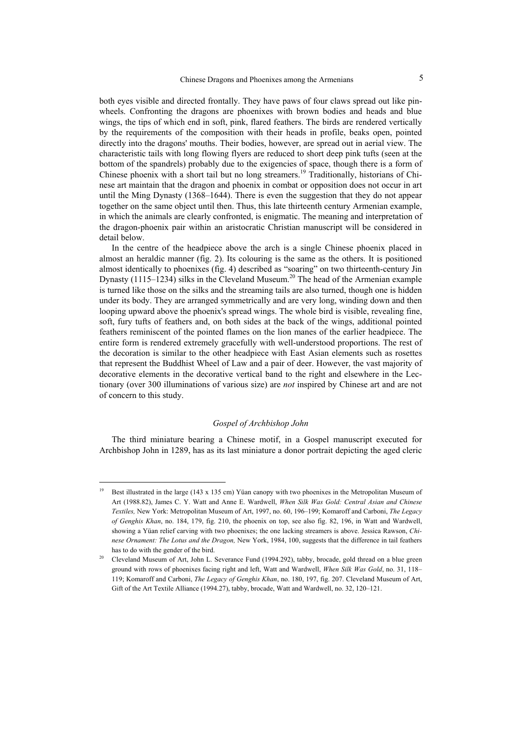both eyes visible and directed frontally. They have paws of four claws spread out like pinwheels. Confronting the dragons are phoenixes with brown bodies and heads and blue wings, the tips of which end in soft, pink, flared feathers. The birds are rendered vertically by the requirements of the composition with their heads in profile, beaks open, pointed directly into the dragons' mouths. Their bodies, however, are spread out in aerial view. The characteristic tails with long flowing flyers are reduced to short deep pink tufts (seen at the bottom of the spandrels) probably due to the exigencies of space, though there is a form of Chinese phoenix with a short tail but no long streamers.<sup>19</sup> Traditionally, historians of Chinese art maintain that the dragon and phoenix in combat or opposition does not occur in art until the Ming Dynasty (1368–1644). There is even the suggestion that they do not appear together on the same object until then. Thus, this late thirteenth century Armenian example, in which the animals are clearly confronted, is enigmatic. The meaning and interpretation of the dragon-phoenix pair within an aristocratic Christian manuscript will be considered in detail below.

In the centre of the headpiece above the arch is a single Chinese phoenix placed in almost an heraldic manner (fig. 2). Its colouring is the same as the others. It is positioned almost identically to phoenixes (fig. 4) described as "soaring" on two thirteenth-century Jin Dynasty  $(1115-1234)$  silks in the Cleveland Museum.<sup>20</sup> The head of the Armenian example is turned like those on the silks and the streaming tails are also turned, though one is hidden under its body. They are arranged symmetrically and are very long, winding down and then looping upward above the phoenix's spread wings. The whole bird is visible, revealing fine, soft, fury tufts of feathers and, on both sides at the back of the wings, additional pointed feathers reminiscent of the pointed flames on the lion manes of the earlier headpiece. The entire form is rendered extremely gracefully with well-understood proportions. The rest of the decoration is similar to the other headpiece with East Asian elements such as rosettes that represent the Buddhist Wheel of Law and a pair of deer. However, the vast majority of decorative elements in the decorative vertical band to the right and elsewhere in the Lectionary (over 300 illuminations of various size) are *not* inspired by Chinese art and are not of concern to this study.

#### *Gospel of Archbishop John*

The third miniature bearing a Chinese motif, in a Gospel manuscript executed for Archbishop John in 1289, has as its last miniature a donor portrait depicting the aged cleric

<sup>&</sup>lt;sup>19</sup> Best illustrated in the large (143 x 135 cm) Yüan canopy with two phoenixes in the Metropolitan Museum of Art (1988.82), James C. Y. Watt and Anne E. Wardwell, *When Silk Was Gold: Central Asian and Chinese Textiles,* New York: Metropolitan Museum of Art, 1997, no. 60, 196–199; Komaroff and Carboni, *The Legacy of Genghis Khan*, no. 184, 179, fig. 210, the phoenix on top, see also fig. 82, 196, in Watt and Wardwell, showing a Yüan relief carving with two phoenixes; the one lacking streamers is above. Jessica Rawson, *Chinese Ornament: The Lotus and the Dragon,* New York, 1984, 100, suggests that the difference in tail feathers

has to do with the gender of the bird.<br>Cleveland Museum of Art, John L. Severance Fund (1994.292), tabby, brocade, gold thread on a blue green ground with rows of phoenixes facing right and left, Watt and Wardwell, *When Silk Was Gold*, no. 31, 118– 119; Komaroff and Carboni, *The Legacy of Genghis Khan*, no. 180, 197, fig. 207. Cleveland Museum of Art, Gift of the Art Textile Alliance (1994.27), tabby, brocade, Watt and Wardwell, no. 32, 120–121.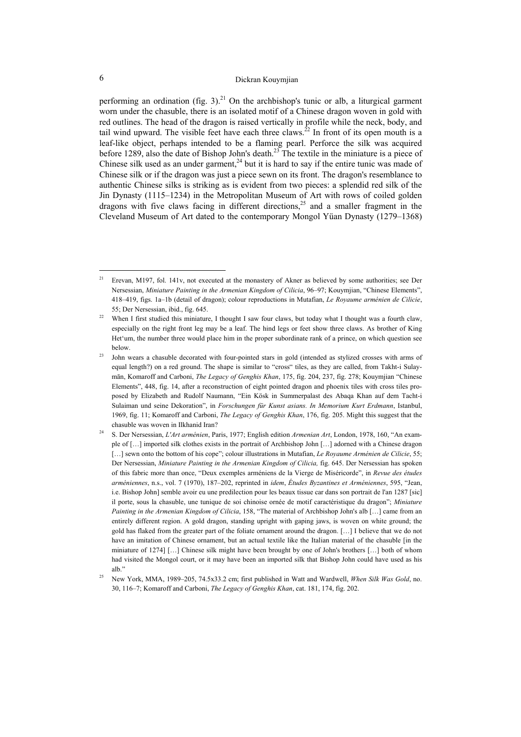performing an ordination (fig. 3).<sup>21</sup> On the archbishop's tunic or alb, a liturgical garment worn under the chasuble, there is an isolated motif of a Chinese dragon woven in gold with red outlines. The head of the dragon is raised vertically in profile while the neck, body, and tail wind upward. The visible feet have each three claws.<sup>22</sup> In front of its open mouth is a leaf-like object, perhaps intended to be a flaming pearl. Perforce the silk was acquired before 1289, also the date of Bishop John's death.<sup>23</sup> The textile in the miniature is a piece of Chinese silk used as an under garment,<sup>24</sup> but it is hard to say if the entire tunic was made of Chinese silk or if the dragon was just a piece sewn on its front. The dragon's resemblance to authentic Chinese silks is striking as is evident from two pieces: a splendid red silk of the Jin Dynasty (1115–1234) in the Metropolitan Museum of Art with rows of coiled golden dragons with five claws facing in different directions,<sup>25</sup> and a smaller fragment in the Cleveland Museum of Art dated to the contemporary Mongol Yüan Dynasty (1279–1368)

 $\overline{a}$ 

<sup>&</sup>lt;sup>21</sup> Erevan, M197, fol. 141v, not executed at the monastery of Akner as believed by some authorities; see Der Nersessian, *Miniature Painting in the Armenian Kingdom of Cilicia*, 96–97; Kouymjian, "Chinese Elements", 418–419, figs. 1a–1b (detail of dragon); colour reproductions in Mutafian, *Le Royaume arménien de Cilicie*, 55; Der Nersessian, ibid., fig. 645.<br><sup>22</sup> When I first studied this miniature, I thought I saw four claws, but today what I thought was a fourth claw,

especially on the right front leg may be a leaf. The hind legs or feet show three claws. As brother of King Het'um, the number three would place him in the proper subordinate rank of a prince, on which question see

below.<br><sup>23</sup> John wears a chasuble decorated with four-pointed stars in gold (intended as stylized crosses with arms of equal length?) on a red ground. The shape is similar to "cross" tiles, as they are called, from Takht-i Sulaymān, Komaroff and Carboni, *The Legacy of Genghis Khan*, 175, fig. 204, 237, fig. 278; Kouymjian "Chinese Elements", 448, fig. 14, after a reconstruction of eight pointed dragon and phoenix tiles with cross tiles proposed by Elizabeth and Rudolf Naumann, "Ein Kösk in Summerpalast des Abaqa Khan auf dem Tacht-i Sulaiman und seine Dekoration", in *Forschungen für Kunst asians. In Memorium Kurt Erdmann*, Istanbul, 1969, fig. 11; Komaroff and Carboni, *The Legacy of Genghis Khan*, 176, fig. 205. Might this suggest that the chasuble was woven in Ilkhanid Iran? 24 S. Der Nersessian, *L'Art arménien*, Paris, 1977; English edition *Armenian Art*, London, 1978, 160, "An exam-

ple of […] imported silk clothes exists in the portrait of Archbishop John […] adorned with a Chinese dragon […] sewn onto the bottom of his cope"; colour illustrations in Mutafian, *Le Royaume Arménien de Cilicie*, 55; Der Nersessian, *Miniature Painting in the Armenian Kingdom of Cilicia,* fig. 645. Der Nersessian has spoken of this fabric more than once, "Deux exemples arméniens de la Vierge de Miséricorde", in *Revue des études arméniennes*, n.s., vol. 7 (1970), 187–202, reprinted in *idem*, *Études Byzantines et Arméniennes*, 595, "Jean, i.e. Bishop John] semble avoir eu une predilection pour les beaux tissue car dans son portrait de l'an 1287 [sic] il porte, sous la chasuble, une tunique de soi chinoise ornée de motif caractéristique du dragon"; *Miniature Painting in the Armenian Kingdom of Cilicia*, 158, "The material of Archbishop John's alb […] came from an entirely different region. A gold dragon, standing upright with gaping jaws, is woven on white ground; the gold has flaked from the greater part of the foliate ornament around the dragon. […] I believe that we do not have an imitation of Chinese ornament, but an actual textile like the Italian material of the chasuble [in the miniature of 1274] […] Chinese silk might have been brought by one of John's brothers […] both of whom had visited the Mongol court, or it may have been an imported silk that Bishop John could have used as his

alb." 25 New York, MMA, 1989–205, 74.5x33.2 cm; first published in Watt and Wardwell, *When Silk Was Gold*, no. 30, 116–7; Komaroff and Carboni, *The Legacy of Genghis Khan*, cat. 181, 174, fig. 202.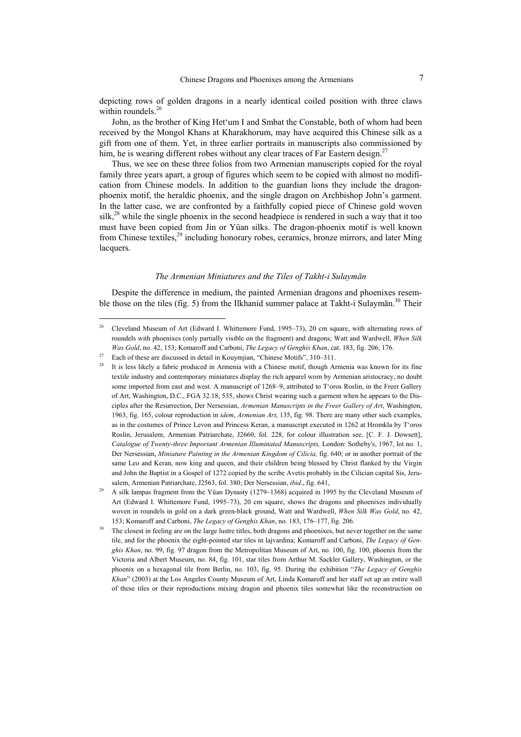depicting rows of golden dragons in a nearly identical coiled position with three claws within roundels.<sup>26</sup>

John, as the brother of King Het'um I and Smbat the Constable, both of whom had been received by the Mongol Khans at Kharakhorum, may have acquired this Chinese silk as a gift from one of them. Yet, in three earlier portraits in manuscripts also commissioned by him, he is wearing different robes without any clear traces of Far Eastern design.<sup>27</sup>

Thus, we see on these three folios from two Armenian manuscripts copied for the royal family three years apart, a group of figures which seem to be copied with almost no modification from Chinese models. In addition to the guardian lions they include the dragonphoenix motif, the heraldic phoenix, and the single dragon on Archbishop John's garment. In the latter case, we are confronted by a faithfully copied piece of Chinese gold woven silk,<sup>28</sup> while the single phoenix in the second headpiece is rendered in such a way that it too must have been copied from Jin or Yüan silks. The dragon-phoenix motif is well known from Chinese textiles,<sup>29</sup> including honorary robes, ceramics, bronze mirrors, and later Ming lacquers.

#### *The Armenian Miniatures and the Tiles of Takht-i Sulaymān*

Despite the difference in medium, the painted Armenian dragons and phoenixes resemble those on the tiles (fig. 5) from the Ilkhanid summer palace at Takht-i Sulaymān.<sup>30</sup> Their

<sup>&</sup>lt;sup>26</sup> Cleveland Museum of Art (Edward I. Whittemore Fund, 1995–73), 20 cm square, with alternating rows of roundels with phoenixes (only partially visible on the fragment) and dragons; Watt and Wardwell, *When Silk*  Was Gold, no. 42, 153; Komaroff and Carboni, *The Legacy of Genghis Khan*, cat. 183, fig. 206, 176.<br><sup>27</sup> Each of these are discussed in detail in Kouymjian, "Chinese Motifs", 310–311.<br><sup>28</sup> It is less likely a fabric produc

textile industry and contemporary miniatures display the rich apparel worn by Armenian aristocracy, no doubt some imported from east and west. A manuscript of 1268–9, attributed to T'oros Roslin, in the Freer Gallery of Art, Washington, D.C., FGA 32.18, 535, shows Christ wearing such a garment when he appears to the Disciples after the Resurrection, Der Nersessian, *Armenian Manuscripts in the Freer Gallery of Art*, Washington, 1963, fig. 165, colour reproduction in *idem*, *Armenian Art*, 135, fig. 98. There are many other such examples, as in the costumes of Prince Levon and Princess Keran, a manuscript executed in 1262 at Hromkla by T'oros Roslin, Jerusalem, Armenian Patriarchate, J2660, fol. 228, for colour illustration see, [C. F. J. Dowsett], *Catalogue of Twenty-three Important Armenian Illuminated Manuscripts,* London: Sotheby's, 1967, lot no. 1, Der Nersessian, *Miniature Painting in the Armenian Kingdom of Cilicia,* fig. 640; or in another portrait of the same Leo and Keran, now king and queen, and their children being blessed by Christ flanked by the Virgin and John the Baptist in a Gospel of 1272 copied by the scribe Avetis probably in the Cilician capital Sis, Jerusalem, Armenian Patriarchate, J2563, fol. 380; Der Nersessian, *ibid.*, fig. 641,<br><sup>29</sup> A silk lampas fragment from the Yüan Dynasty (1279–1368) acquired in 1995 by the Cleveland Museum of

Art (Edward I. Whittemore Fund, 1995–73), 20 cm square, shows the dragons and phoenixes individually woven in roundels in gold on a dark green-black ground, Watt and Wardwell, *When Silk Was Gold*, no. 42, 153; Komaroff and Carboni, *The Legacy of Genghis Khan*, no. 183, 176–177, fig. 206.<br><sup>30</sup> The closest in feeling are on the large lustre titles, both dragons and phoenixes, but never together on the same

tile, and for the phoenix the eight-pointed star tiles in lajvardina; Komaroff and Carboni, *The Legacy of Genghis Khan*, no. 99, fig. 97 dragon from the Metropolitan Museum of Art, no. 100, fig. 100, phoenix from the Victoria and Albert Museum, no. 84, fig. 101, star tiles from Arthur M. Sackler Gallery, Washington, or the phoenix on a hexagonal tile from Berlin, no. 103, fig. 95. During the exhibition "*The Legacy of Genghis Khan*" (2003) at the Los Angeles County Museum of Art, Linda Komaroff and her staff set up an entire wall of these tiles or their reproductions mixing dragon and phoenix tiles somewhat like the reconstruction on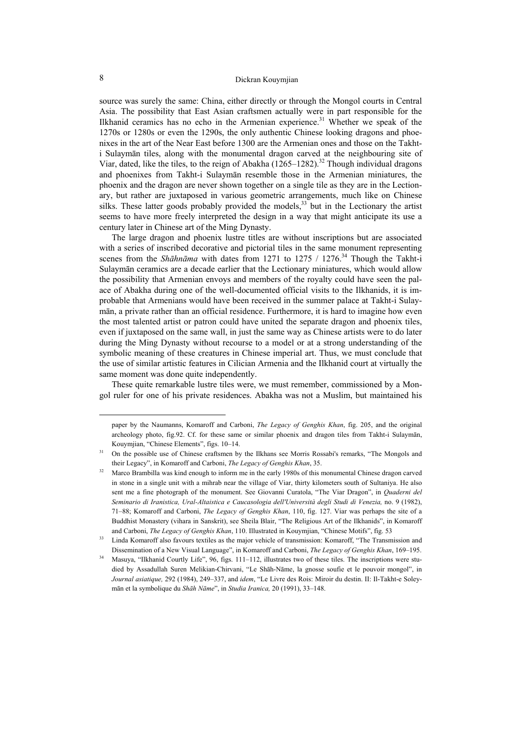source was surely the same: China, either directly or through the Mongol courts in Central Asia. The possibility that East Asian craftsmen actually were in part responsible for the Ilkhanid ceramics has no echo in the Armenian experience.<sup>31</sup> Whether we speak of the 1270s or 1280s or even the 1290s, the only authentic Chinese looking dragons and phoenixes in the art of the Near East before 1300 are the Armenian ones and those on the Takhti Sulaymān tiles, along with the monumental dragon carved at the neighbouring site of Viar, dated, like the tiles, to the reign of Abakha  $(1265-1282)^{32}$  Though individual dragons and phoenixes from Takht-i Sulaymān resemble those in the Armenian miniatures, the phoenix and the dragon are never shown together on a single tile as they are in the Lectionary, but rather are juxtaposed in various geometric arrangements, much like on Chinese silks. These latter goods probably provided the models, $33$  but in the Lectionary the artist seems to have more freely interpreted the design in a way that might anticipate its use a century later in Chinese art of the Ming Dynasty.

The large dragon and phoenix lustre titles are without inscriptions but are associated with a series of inscribed decorative and pictorial tiles in the same monument representing scenes from the *Shāhnāma* with dates from 1271 to 1275 / 1276.<sup>34</sup> Though the Takht-i Sulaymān ceramics are a decade earlier that the Lectionary miniatures, which would allow the possibility that Armenian envoys and members of the royalty could have seen the palace of Abakha during one of the well-documented official visits to the Ilkhanids, it is improbable that Armenians would have been received in the summer palace at Takht-i Sulaymān, a private rather than an official residence. Furthermore, it is hard to imagine how even the most talented artist or patron could have united the separate dragon and phoenix tiles, even if juxtaposed on the same wall, in just the same way as Chinese artists were to do later during the Ming Dynasty without recourse to a model or at a strong understanding of the symbolic meaning of these creatures in Chinese imperial art. Thus, we must conclude that the use of similar artistic features in Cilician Armenia and the Ilkhanid court at virtually the same moment was done quite independently.

These quite remarkable lustre tiles were, we must remember, commissioned by a Mongol ruler for one of his private residences. Abakha was not a Muslim, but maintained his

 $\overline{\phantom{a}}$ 

paper by the Naumanns, Komaroff and Carboni, *The Legacy of Genghis Khan*, fig. 205, and the original archeology photo, fig.92. Cf. for these same or similar phoenix and dragon tiles from Takht-i Sulaymān, Kouymjian, "Chinese Elements", figs. 10–14.<br>31 On the possible use of Chinese craftsmen by the Ilkhans see Morris Rossabi's remarks, "The Mongols and

their Legacy", in Komaroff and Carboni, *The Legacy of Genghis Khan*, 35.<br><sup>32</sup> Marco Brambilla was kind enough to inform me in the early 1980s of this monumental Chinese dragon carved in stone in a single unit with a mihrab near the village of Viar, thirty kilometers south of Sultaniya. He also sent me a fine photograph of the monument. See Giovanni Curatola, "The Viar Dragon", in *Quaderni del Seminario di Iranistica, Ural-Altaistica e Caucasologia dell'Università degli Studi di Venezia,* no. 9 (1982), 71–88; Komaroff and Carboni, *The Legacy of Genghis Khan*, 110, fig. 127. Viar was perhaps the site of a Buddhist Monastery (vihara in Sanskrit), see Sheila Blair, "The Religious Art of the Ilkhanids", in Komaroff

and Carboni, *The Legacy of Genghis Khan*, 110. Illustrated in Kouymjian, "Chinese Motifs", fig. 53<br>Linda Komaroff also favours textiles as the major vehicle of transmission: Komaroff, "The Transmission and

Dissemination of a New Visual Language", in Komaroff and Carboni, *The Legacy of Genghis Khan*, 169–195. Masuya, "Ilkhanid Courtly Life", 96, figs. 111–112, illustrates two of these tiles. The inscriptions were studied by Assadullah Suren Melikian-Chirvani, "Le Shāh-Nāme, la gnosse soufie et le pouvoir mongol", in *Journal asiatique,* 292 (1984), 249–337, and *idem*, "Le Livre des Rois: Miroir du destin. II: Il-Takht-e Soleymān et la symbolique du *Shāh Nāme*", in *Studia Iranica,* 20 (1991), 33–148.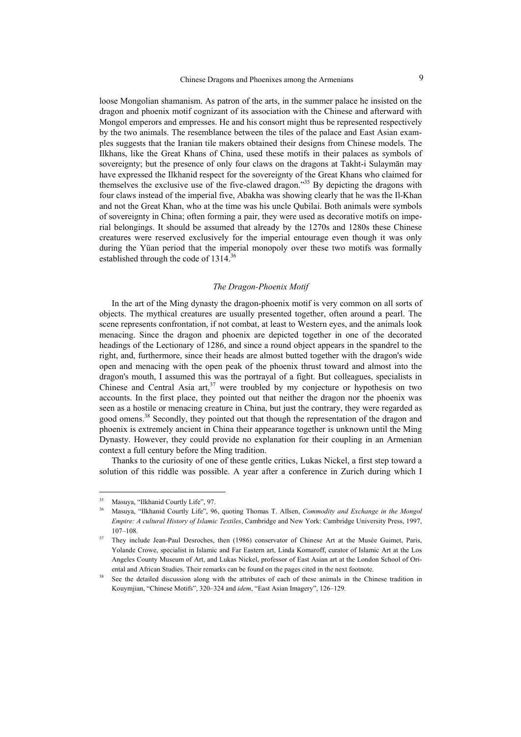loose Mongolian shamanism. As patron of the arts, in the summer palace he insisted on the dragon and phoenix motif cognizant of its association with the Chinese and afterward with Mongol emperors and empresses. He and his consort might thus be represented respectively by the two animals. The resemblance between the tiles of the palace and East Asian examples suggests that the Iranian tile makers obtained their designs from Chinese models. The Ilkhans, like the Great Khans of China, used these motifs in their palaces as symbols of sovereignty; but the presence of only four claws on the dragons at Takht-i Sulaymān may have expressed the Ilkhanid respect for the sovereignty of the Great Khans who claimed for themselves the exclusive use of the five-clawed dragon."35 By depicting the dragons with four claws instead of the imperial five, Abakha was showing clearly that he was the Il-Khan and not the Great Khan, who at the time was his uncle Qubilai. Both animals were symbols of sovereignty in China; often forming a pair, they were used as decorative motifs on imperial belongings. It should be assumed that already by the 1270s and 1280s these Chinese creatures were reserved exclusively for the imperial entourage even though it was only during the Yüan period that the imperial monopoly over these two motifs was formally established through the code of 1314.<sup>36</sup>

### *The Dragon-Phoenix Motif*

In the art of the Ming dynasty the dragon-phoenix motif is very common on all sorts of objects. The mythical creatures are usually presented together, often around a pearl. The scene represents confrontation, if not combat, at least to Western eyes, and the animals look menacing. Since the dragon and phoenix are depicted together in one of the decorated headings of the Lectionary of 1286, and since a round object appears in the spandrel to the right, and, furthermore, since their heads are almost butted together with the dragon's wide open and menacing with the open peak of the phoenix thrust toward and almost into the dragon's mouth, I assumed this was the portrayal of a fight. But colleagues, specialists in Chinese and Central Asia art,  $37$  were troubled by my conjecture or hypothesis on two accounts. In the first place, they pointed out that neither the dragon nor the phoenix was seen as a hostile or menacing creature in China, but just the contrary, they were regarded as good omens.<sup>38</sup> Secondly, they pointed out that though the representation of the dragon and phoenix is extremely ancient in China their appearance together is unknown until the Ming Dynasty. However, they could provide no explanation for their coupling in an Armenian context a full century before the Ming tradition.

Thanks to the curiosity of one of these gentle critics, Lukas Nickel, a first step toward a solution of this riddle was possible. A year after a conference in Zurich during which I

<sup>35</sup> Masuya, "Ilkhanid Courtly Life", 97.

<sup>36</sup> Masuya, "Ilkhanid Courtly Life", 96, quoting Thomas T. Allsen, *Commodity and Exchange in the Mongol Empire: A cultural History of Islamic Textiles*, Cambridge and New York: Cambridge University Press, 1997, 107–108. 37 They include Jean-Paul Desroches, then (1986) conservator of Chinese Art at the Musée Guimet, Paris,

Yolande Crowe, specialist in Islamic and Far Eastern art, Linda Komaroff, curator of Islamic Art at the Los Angeles County Museum of Art, and Lukas Nickel, professor of East Asian art at the London School of Ori-

ental and African Studies. Their remarks can be found on the pages cited in the next footnote.<br><sup>38</sup> See the detailed discussion along with the attributes of each of these animals in the Chinese tradition in Kouymjian, "Chinese Motifs", 320–324 and *idem*, "East Asian Imagery", 126–129.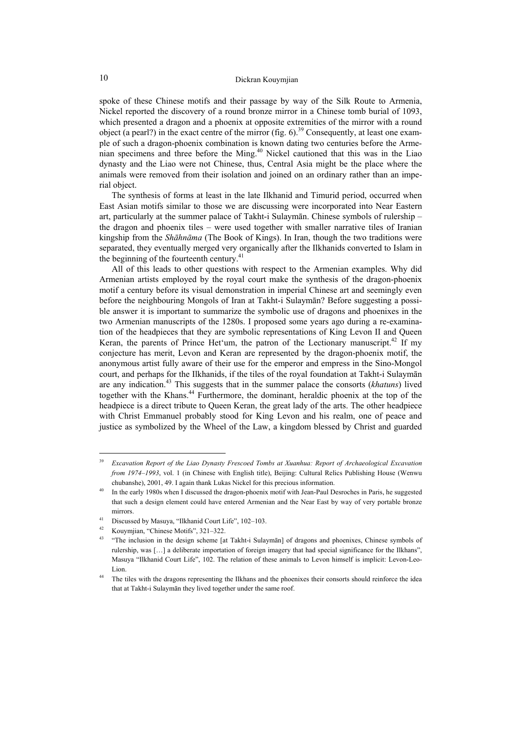spoke of these Chinese motifs and their passage by way of the Silk Route to Armenia, Nickel reported the discovery of a round bronze mirror in a Chinese tomb burial of 1093, which presented a dragon and a phoenix at opposite extremities of the mirror with a round object (a pearl?) in the exact centre of the mirror (fig. 6).<sup>39</sup> Consequently, at least one example of such a dragon-phoenix combination is known dating two centuries before the Armenian specimens and three before the Ming.40 Nickel cautioned that this was in the Liao dynasty and the Liao were not Chinese, thus, Central Asia might be the place where the animals were removed from their isolation and joined on an ordinary rather than an imperial object.

The synthesis of forms at least in the late Ilkhanid and Timurid period, occurred when East Asian motifs similar to those we are discussing were incorporated into Near Eastern art, particularly at the summer palace of Takht-i Sulaymān. Chinese symbols of rulership – the dragon and phoenix tiles – were used together with smaller narrative tiles of Iranian kingship from the *Shāhnāma* (The Book of Kings). In Iran, though the two traditions were separated, they eventually merged very organically after the Ilkhanids converted to Islam in the beginning of the fourteenth century. $41$ 

All of this leads to other questions with respect to the Armenian examples. Why did Armenian artists employed by the royal court make the synthesis of the dragon-phoenix motif a century before its visual demonstration in imperial Chinese art and seemingly even before the neighbouring Mongols of Iran at Takht-i Sulaymān? Before suggesting a possible answer it is important to summarize the symbolic use of dragons and phoenixes in the two Armenian manuscripts of the 1280s. I proposed some years ago during a re-examination of the headpieces that they are symbolic representations of King Levon II and Queen Keran, the parents of Prince Het'um, the patron of the Lectionary manuscript.<sup>42</sup> If my conjecture has merit, Levon and Keran are represented by the dragon-phoenix motif, the anonymous artist fully aware of their use for the emperor and empress in the Sino-Mongol court, and perhaps for the Ilkhanids, if the tiles of the royal foundation at Takht-i Sulaymān are any indication.43 This suggests that in the summer palace the consorts (*khatuns*) lived together with the Khans.<sup>44</sup> Furthermore, the dominant, heraldic phoenix at the top of the headpiece is a direct tribute to Queen Keran, the great lady of the arts. The other headpiece with Christ Emmanuel probably stood for King Levon and his realm, one of peace and justice as symbolized by the Wheel of the Law, a kingdom blessed by Christ and guarded

<sup>39</sup> *Excavation Report of the Liao Dynasty Frescoed Tombs at Xuanhua: Report of Archaeological Excavation from 1974–1993*, vol. 1 (in Chinese with English title), Beijing: Cultural Relics Publishing House (Wenwu

chubanshe), 2001, 49. I again thank Lukas Nickel for this precious information. 40 In the early 1980s when I discussed the dragon-phoenix motif with Jean-Paul Desroches in Paris, he suggested that such a design element could have entered Armenian and the Near East by way of very portable bronze mirrors.<br><sup>41</sup> Discussed by Masuya, "Ilkhanid Court Life", 102–103.

<sup>42</sup> Kouymjian, "Chinese Motifs", 321–322.

<sup>43 &</sup>quot;The inclusion in the design scheme [at Takht-i Sulaymān] of dragons and phoenixes, Chinese symbols of rulership, was […] a deliberate importation of foreign imagery that had special significance for the Ilkhans", Masuya "Ilkhanid Court Life", 102. The relation of these animals to Levon himself is implicit: Levon-Leo-

Lion.<br><sup>44</sup> The tiles with the dragons representing the Ilkhans and the phoenixes their consorts should reinforce the idea that at Takht-i Sulaymān they lived together under the same roof.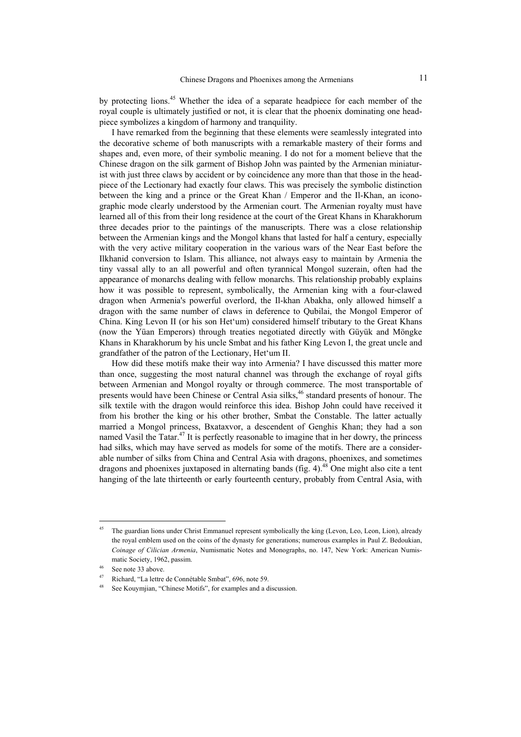by protecting lions.<sup>45</sup> Whether the idea of a separate headpiece for each member of the royal couple is ultimately justified or not, it is clear that the phoenix dominating one headpiece symbolizes a kingdom of harmony and tranquility.

I have remarked from the beginning that these elements were seamlessly integrated into the decorative scheme of both manuscripts with a remarkable mastery of their forms and shapes and, even more, of their symbolic meaning. I do not for a moment believe that the Chinese dragon on the silk garment of Bishop John was painted by the Armenian miniaturist with just three claws by accident or by coincidence any more than that those in the headpiece of the Lectionary had exactly four claws. This was precisely the symbolic distinction between the king and a prince or the Great Khan / Emperor and the Il-Khan, an iconographic mode clearly understood by the Armenian court. The Armenian royalty must have learned all of this from their long residence at the court of the Great Khans in Kharakhorum three decades prior to the paintings of the manuscripts. There was a close relationship between the Armenian kings and the Mongol khans that lasted for half a century, especially with the very active military cooperation in the various wars of the Near East before the Ilkhanid conversion to Islam. This alliance, not always easy to maintain by Armenia the tiny vassal ally to an all powerful and often tyrannical Mongol suzerain, often had the appearance of monarchs dealing with fellow monarchs. This relationship probably explains how it was possible to represent, symbolically, the Armenian king with a four-clawed dragon when Armenia's powerful overlord, the Il-khan Abakha, only allowed himself a dragon with the same number of claws in deference to Qubilai, the Mongol Emperor of China. King Levon II (or his son Het'um) considered himself tributary to the Great Khans (now the Yüan Emperors) through treaties negotiated directly with Güyük and Möngke Khans in Kharakhorum by his uncle Smbat and his father King Levon I, the great uncle and grandfather of the patron of the Lectionary, Het'um II.

How did these motifs make their way into Armenia? I have discussed this matter more than once, suggesting the most natural channel was through the exchange of royal gifts between Armenian and Mongol royalty or through commerce. The most transportable of presents would have been Chinese or Central Asia silks,<sup>46</sup> standard presents of honour. The silk textile with the dragon would reinforce this idea. Bishop John could have received it from his brother the king or his other brother, Smbat the Constable. The latter actually married a Mongol princess, Bxataxvor, a descendent of Genghis Khan; they had a son named Vasil the Tatar.<sup>47</sup> It is perfectly reasonable to imagine that in her dowry, the princess had silks, which may have served as models for some of the motifs. There are a considerable number of silks from China and Central Asia with dragons, phoenixes, and sometimes dragons and phoenixes juxtaposed in alternating bands (fig.  $4$ ).<sup>48</sup> One might also cite a tent hanging of the late thirteenth or early fourteenth century, probably from Central Asia, with

<sup>&</sup>lt;sup>45</sup> The guardian lions under Christ Emmanuel represent symbolically the king (Levon, Leo, Leon, Lion), already the royal emblem used on the coins of the dynasty for generations; numerous examples in Paul Z. Bedoukian, *Coinage of Cilician Armenia*, Numismatic Notes and Monographs, no. 147, New York: American Numismatic Society, 1962, passim.<br><sup>46</sup> See note 33 above.

<sup>&</sup>lt;sup>47</sup> Richard, "La lettre de Connétable Smbat", 696, note 59.<br><sup>48</sup> See Kouymjian, "Chinese Motifs", for examples and a discussion.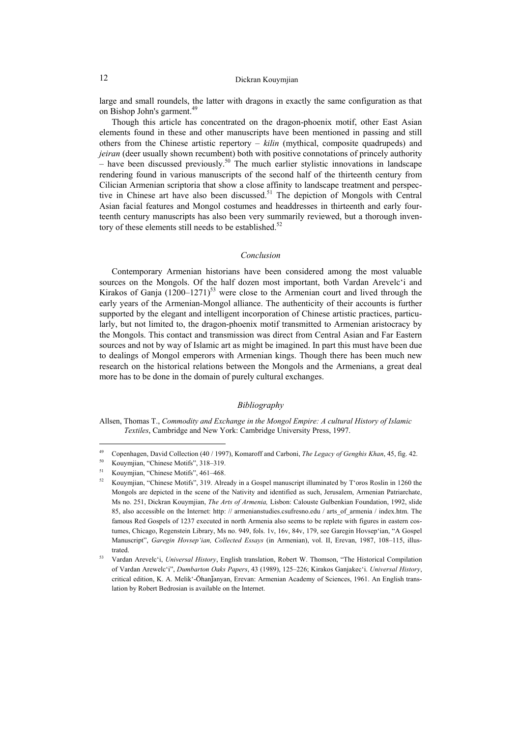large and small roundels, the latter with dragons in exactly the same configuration as that on Bishop John's garment.<sup>49</sup>

Though this article has concentrated on the dragon-phoenix motif, other East Asian elements found in these and other manuscripts have been mentioned in passing and still others from the Chinese artistic repertory – *kilin* (mythical, composite quadrupeds) and *jeiran* (deer usually shown recumbent) both with positive connotations of princely authority – have been discussed previously.<sup>50</sup> The much earlier stylistic innovations in landscape rendering found in various manuscripts of the second half of the thirteenth century from Cilician Armenian scriptoria that show a close affinity to landscape treatment and perspective in Chinese art have also been discussed.<sup>51</sup> The depiction of Mongols with Central Asian facial features and Mongol costumes and headdresses in thirteenth and early fourteenth century manuscripts has also been very summarily reviewed, but a thorough inventory of these elements still needs to be established. $52$ 

#### *Conclusion*

Contemporary Armenian historians have been considered among the most valuable sources on the Mongols. Of the half dozen most important, both Vardan Arevelc'i and Kirakos of Ganja  $(1200-1271)^{53}$  were close to the Armenian court and lived through the early years of the Armenian-Mongol alliance. The authenticity of their accounts is further supported by the elegant and intelligent incorporation of Chinese artistic practices, particularly, but not limited to, the dragon-phoenix motif transmitted to Armenian aristocracy by the Mongols. This contact and transmission was direct from Central Asian and Far Eastern sources and not by way of Islamic art as might be imagined. In part this must have been due to dealings of Mongol emperors with Armenian kings. Though there has been much new research on the historical relations between the Mongols and the Armenians, a great deal more has to be done in the domain of purely cultural exchanges.

### *Bibliography*

Allsen, Thomas T., *Commodity and Exchange in the Mongol Empire: A cultural History of Islamic Textiles*, Cambridge and New York: Cambridge University Press, 1997.

 $\overline{\phantom{a}}$ 

<sup>49</sup> Copenhagen, David Collection (40 / 1997), Komaroff and Carboni, *The Legacy of Genghis Khan*, 45, fig. 42. 50 Kouymjian, "Chinese Motifs", 318–319.

<sup>51</sup> Kouymjian, "Chinese Motifs", 461–468.

<sup>52</sup> Kouymjian, "Chinese Motifs", 319. Already in a Gospel manuscript illuminated by T'oros Roslin in 1260 the Mongols are depicted in the scene of the Nativity and identified as such, Jerusalem, Armenian Patriarchate, Ms no. 251, Dickran Kouymjian, *The Arts of Armenia,* Lisbon: Calouste Gulbenkian Foundation, 1992, slide 85, also accessible on the Internet: http: // armenianstudies.csufresno.edu / arts. of. armenia / index.htm. The famous Red Gospels of 1237 executed in north Armenia also seems to be replete with figures in eastern costumes, Chicago, Regenstein Library, Ms no. 949, fols. 1v, 16v, 84v, 179, see Garegin Hovsep'ian, "A Gospel Manuscript", *Garegin Hovsep'ian, Collected Essays* (in Armenian), vol. II, Erevan, 1987, 108–115, illus-

trated. 53 Vardan Arevelc'i, *Universal History*, English translation, Robert W. Thomson, "The Historical Compilation of Vardan Arewelc'i", *Dumbarton Oaks Papers*, 43 (1989), 125–226; Kirakos Ganjakec'i. *Universal History*, critical edition, K. A. Melik'-Ōhanǰanyan, Erevan: Armenian Academy of Sciences, 1961. An English translation by Robert Bedrosian is available on the Internet.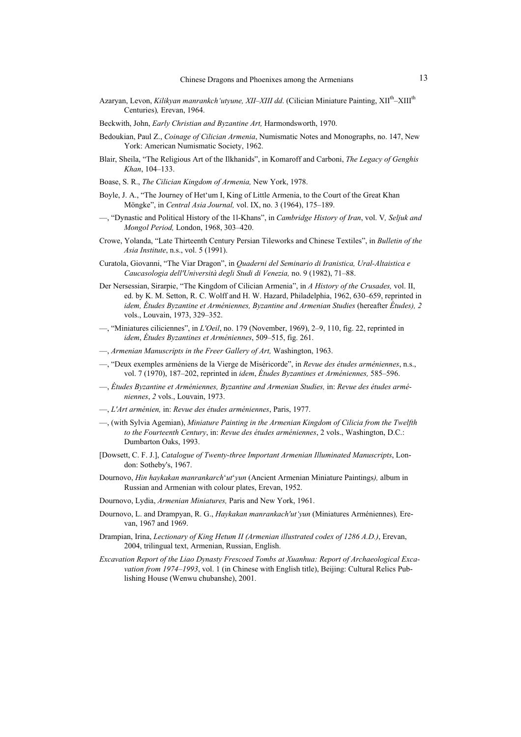- Azaryan, Levon, *Kilikyan manrankch'utyune, XII–XIII dd.* (Cilician Miniature Painting, XII<sup>th</sup>–XIII<sup>th</sup> Centuries)*,* Erevan, 1964.
- Beckwith, John, *Early Christian and Byzantine Art,* Harmondsworth, 1970.
- Bedoukian, Paul Z., *Coinage of Cilician Armenia*, Numismatic Notes and Monographs, no. 147, New York: American Numismatic Society, 1962.
- Blair, Sheila, "The Religious Art of the Ilkhanids", in Komaroff and Carboni, *The Legacy of Genghis Khan*, 104–133.
- Boase, S. R., *The Cilician Kingdom of Armenia,* New York, 1978.
- Boyle, J. A., "The Journey of Het'um I, King of Little Armenia, to the Court of the Great Khan Möngke", in *Central Asia Journal,* vol. IX, no. 3 (1964), 175–189.
- —, "Dynastic and Political History of the 1l-Khans", in *Cambridge History of Iran*, vol. V*, Seljuk and Mongol Period,* London, 1968, 303–420.
- Crowe, Yolanda, "Late Thirteenth Century Persian Tileworks and Chinese Textiles", in *Bulletin of the Asia Institute*, n.s., vol. 5 (1991).
- Curatola, Giovanni, "The Viar Dragon", in *Quaderni del Seminario di Iranistica, Ural-Altaistica e Caucasologia dell'Università degli Studi di Venezia,* no. 9 (1982), 71–88.
- Der Nersessian, Sirarpie, "The Kingdom of Cilician Armenia", in *A History of the Crusades,* vol. II, ed. by K. M. Setton, R. C. Wolff and H. W. Hazard, Philadelphia, 1962, 630–659, reprinted in *idem, Études Byzantine et Arméniennes, Byzantine and Armenian Studies* (hereafter *Études), 2*  vols., Louvain, 1973, 329–352.
- —, "Miniatures ciliciennes", in *L'Oeil*, no. 179 (November, 1969), 2–9, 110, fig. 22, reprinted in *idem*, *Études Byzantines et Arméniennes*, 509–515, fig. 261.
- —, *Armenian Manuscripts in the Freer Gallery of Art,* Washington, 1963.
- —, "Deux exemples arméniens de la Vierge de Miséricorde", in *Revue des études arméniennes*, n.s., vol. 7 (1970), 187–202, reprinted in *idem*, *Études Byzantines et Arméniennes,* 585–596.
- —, *Études Byzantine et Arméniennes, Byzantine and Armenian Studies,* in: *Revue des études arméniennes*, *2* vols., Louvain, 1973.
- —, *L'Art arménien,* in: *Revue des études arméniennes*, Paris, 1977.
- —, (with Sylvia Agemian), *Miniature Painting in the Armenian Kingdom of Cilicia from the Twelfth to the Fourteenth Century*, in: *Revue des études arméniennes*, 2 vols., Washington, D.C.: Dumbarton Oaks, 1993.
- [Dowsett, C. F. J.], *Catalogue of Twenty-three Important Armenian Illuminated Manuscripts*, London: Sotheby's, 1967.
- Dournovo, *Hin haykakan manrankarch*'*ut*'*yun* (Ancient Armenian Miniature Paintings*),* album in Russian and Armenian with colour plates, Erevan, 1952.
- Dournovo, Lydia, *Armenian Miniatures,* Paris and New York, 1961.
- Dournovo, L. and Drampyan, R. G., *Haykakan manrankach'ut'yun* (Miniatures Arméniennes)*,* Erevan, 1967 and 1969.
- Drampian, Irina, *Lectionary of King Hetum II (Armenian illustrated codex of 1286 A.D.)*, Erevan, 2004, trilingual text, Armenian, Russian, English.
- *Excavation Report of the Liao Dynasty Frescoed Tombs at Xuanhua: Report of Archaeological Excavation from 1974–1993*, vol. 1 (in Chinese with English title), Beijing: Cultural Relics Publishing House (Wenwu chubanshe), 2001.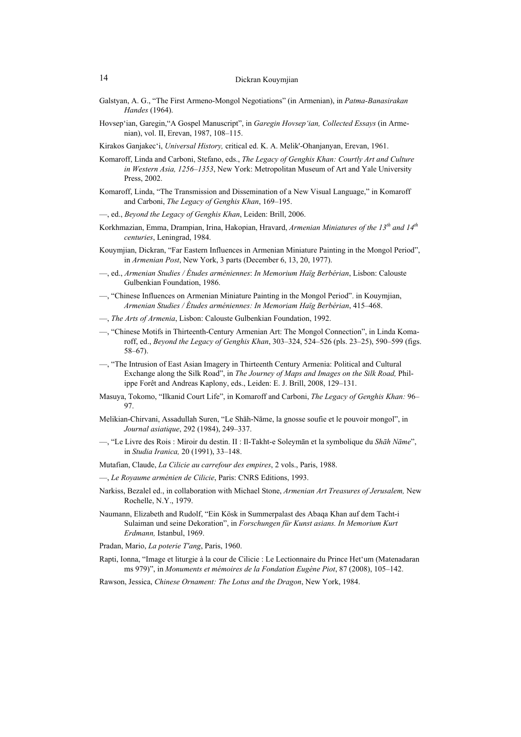- Galstyan, A. G., "The First Armeno-Mongol Negotiations" (in Armenian), in *Patma-Banasirakan Handes* (1964).
- Hovsep'ian, Garegin,"A Gospel Manuscript", in *Garegin Hovsep'ian, Collected Essays* (in Armenian), vol. II, Erevan, 1987, 108–115.
- Kirakos Ganjakec'i, *Universal History,* critical ed. K. A. Melik'-Ohanjanyan, Erevan, 1961.
- Komaroff, Linda and Carboni, Stefano, eds., *The Legacy of Genghis Khan: Courtly Art and Culture in Western Asia, 1256–1353*, New York: Metropolitan Museum of Art and Yale University Press, 2002.
- Komaroff, Linda, "The Transmission and Dissemination of a New Visual Language," in Komaroff and Carboni, *The Legacy of Genghis Khan*, 169–195.
- —, ed., *Beyond the Legacy of Genghis Khan*, Leiden: Brill, 2006.
- Korkhmazian, Emma, Drampian, Irina, Hakopian, Hravard, *Armenian Miniatures of the 13th and 14th centuries*, Leningrad, 1984.
- Kouymjian, Dickran, "Far Eastern Influences in Armenian Miniature Painting in the Mongol Period", in *Armenian Post*, New York, 3 parts (December 6, 13, 20, 1977).
- —, ed., *Armenian Studies / Études arméniennes*: *In Memorium Haïg Berbérian*, Lisbon: Calouste Gulbenkian Foundation, 1986.
- —, "Chinese Influences on Armenian Miniature Painting in the Mongol Period". in Kouymjian, *Armenian Studies / Études arméniennes: In Memoriam Haïg Berbérian*, 415–468.
- —, *The Arts of Armenia*, Lisbon: Calouste Gulbenkian Foundation, 1992.
- —, "Chinese Motifs in Thirteenth-Century Armenian Art: The Mongol Connection", in Linda Komaroff, ed., *Beyond the Legacy of Genghis Khan*, 303–324, 524–526 (pls. 23–25), 590–599 (figs. 58–67).
- —, "The Intrusion of East Asian Imagery in Thirteenth Century Armenia: Political and Cultural Exchange along the Silk Road", in *The Journey of Maps and Images on the Silk Road,* Philippe Forêt and Andreas Kaplony, eds., Leiden: E. J. Brill, 2008, 129–131.
- Masuya, Tokomo, "Ilkanid Court Life", in Komaroff and Carboni, *The Legacy of Genghis Khan:* 96– 97.
- Melikian-Chirvani, Assadullah Suren, "Le Shāh-Nāme, la gnosse soufie et le pouvoir mongol", in *Journal asiatique*, 292 (1984), 249–337.
- —, "Le Livre des Rois : Miroir du destin. II : Il-Takht-e Soleymān et la symbolique du *Shāh Nāme*", in *Studia Iranica,* 20 (1991), 33–148.
- Mutafian, Claude, *La Cilicie au carrefour des empires*, 2 vols., Paris, 1988.
- —, *Le Royaume arménien de Cilicie*, Paris: CNRS Editions, 1993.
- Narkiss, Bezalel ed., in collaboration with Michael Stone, *Armenian Art Treasures of Jerusalem,* New Rochelle, N.Y., 1979.
- Naumann, Elizabeth and Rudolf, "Ein Kösk in Summerpalast des Abaqa Khan auf dem Tacht-i Sulaiman und seine Dekoration", in *Forschungen für Kunst asians. In Memorium Kurt Erdmann,* Istanbul, 1969.
- Pradan, Mario, *La poterie T'ang*, Paris, 1960.
- Rapti, Ionna, "Image et liturgie à la cour de Cilicie : Le Lectionnaire du Prince Het'um (Matenadaran ms 979)", in *Monuments et mémoires de la Fondation Eugène Piot*, 87 (2008), 105–142.
- Rawson, Jessica, *Chinese Ornament: The Lotus and the Dragon*, New York, 1984.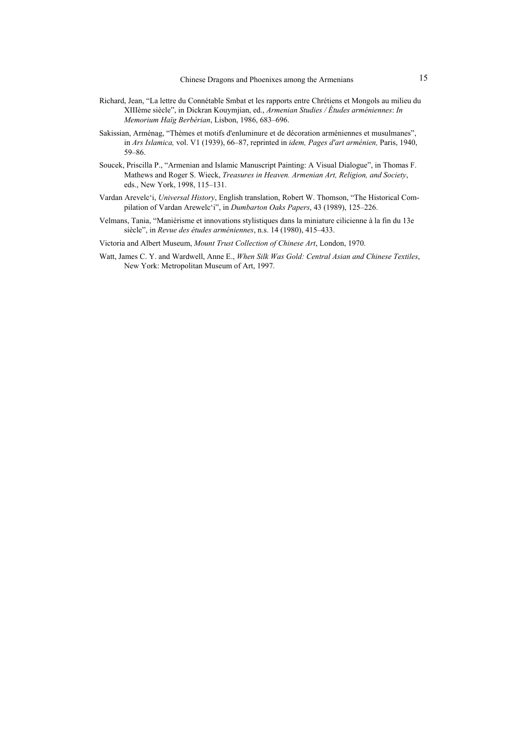- Richard, Jean, "La lettre du Connétable Smbat et les rapports entre Chrétiens et Mongols au milieu du XIIIème siècle", in Dickran Kouymjian, ed., *Armenian Studies / Études arméniennes*: *In Memorium Haïg Berbérian*, Lisbon, 1986, 683–696.
- Sakissian, Arménag, "Thèmes et motifs d'enluminure et de décoration arméniennes et musulmanes", in *Ars Islamica,* vol. V1 (1939), 66–87, reprinted in *idem, Pages d'art arménien,* Paris, 1940, 59–86.
- Soucek, Priscilla P., "Armenian and Islamic Manuscript Painting: A Visual Dialogue", in Thomas F. Mathews and Roger S. Wieck, *Treasures in Heaven. Armenian Art, Religion, and Society*, eds., New York, 1998, 115–131.
- Vardan Arevelc'i, *Universal History*, English translation, Robert W. Thomson, "The Historical Compilation of Vardan Arewelc'i", in *Dumbarton Oaks Papers*, 43 (1989), 125–226.
- Velmans, Tania, "Maniérisme et innovations stylistiques dans la miniature cilicienne à la fin du 13e siècle", in *Revue des études arméniennes*, n.s. 14 (1980), 415–433.
- Victoria and Albert Museum, *Mount Trust Collection of Chinese Art*, London, 1970.
- Watt, James C. Y. and Wardwell, Anne E., *When Silk Was Gold: Central Asian and Chinese Textiles*, New York: Metropolitan Museum of Art, 1997.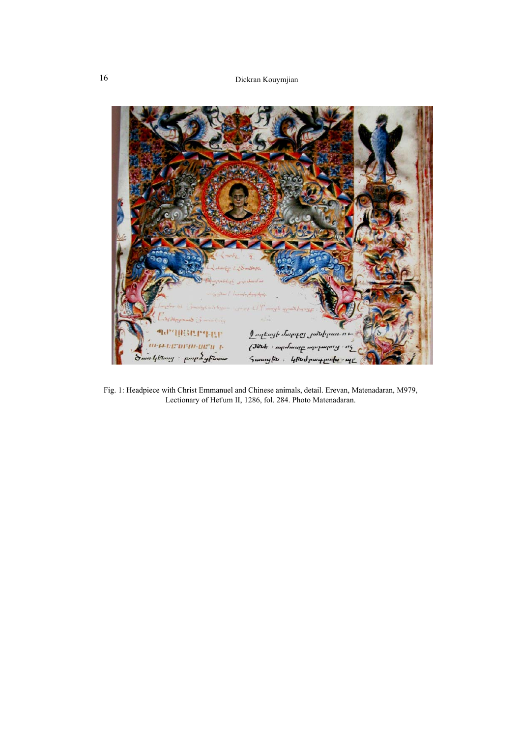

Fig. 1: Headpiece with Christ Emmanuel and Chinese animals, detail. Erevan, Matenadaran, M979, Lectionary of Het'um II, 1286, fol. 284. Photo Matenadaran.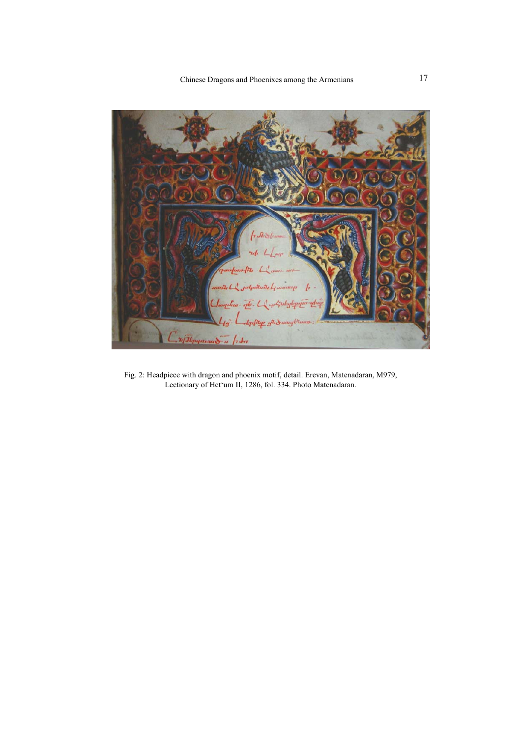

Fig. 2: Headpiece with dragon and phoenix motif, detail. Erevan, Matenadaran, M979, Lectionary of Het'um II, 1286, fol. 334. Photo Matenadaran.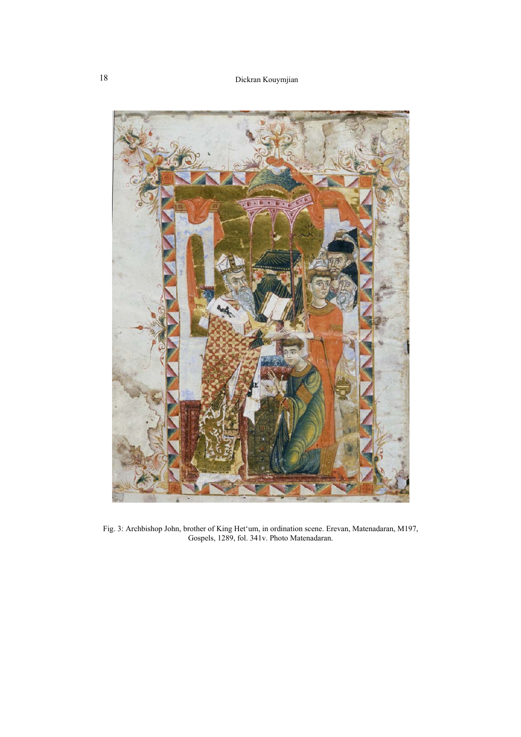

Fig. 3: Archbishop John, brother of King Het'um, in ordination scene. Erevan, Matenadaran, M197, Gospels, 1289, fol. 341v. Photo Matenadaran.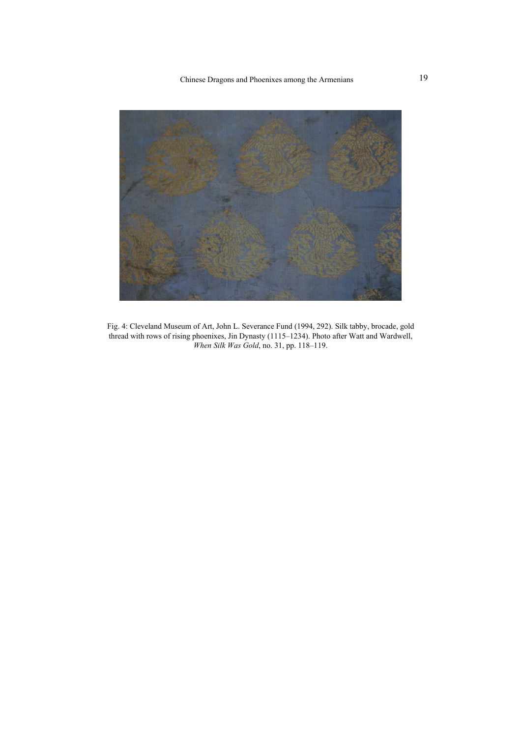Chinese Dragons and Phoenixes among the Armenians 19



Fig. 4: Cleveland Museum of Art, John L. Severance Fund (1994, 292). Silk tabby, brocade, gold thread with rows of rising phoenixes, Jin Dynasty (1115–1234). Photo after Watt and Wardwell, *When Silk Was Gold*, no. 31, pp. 118–119.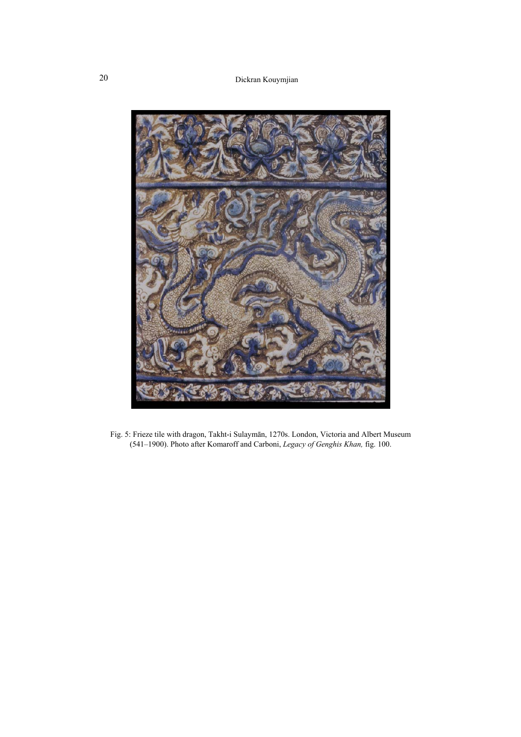

Fig. 5: Frieze tile with dragon, Takht-i Sulaymān, 1270s. London, Victoria and Albert Museum (541–1900). Photo after Komaroff and Carboni, *Legacy of Genghis Khan,* fig. 100.